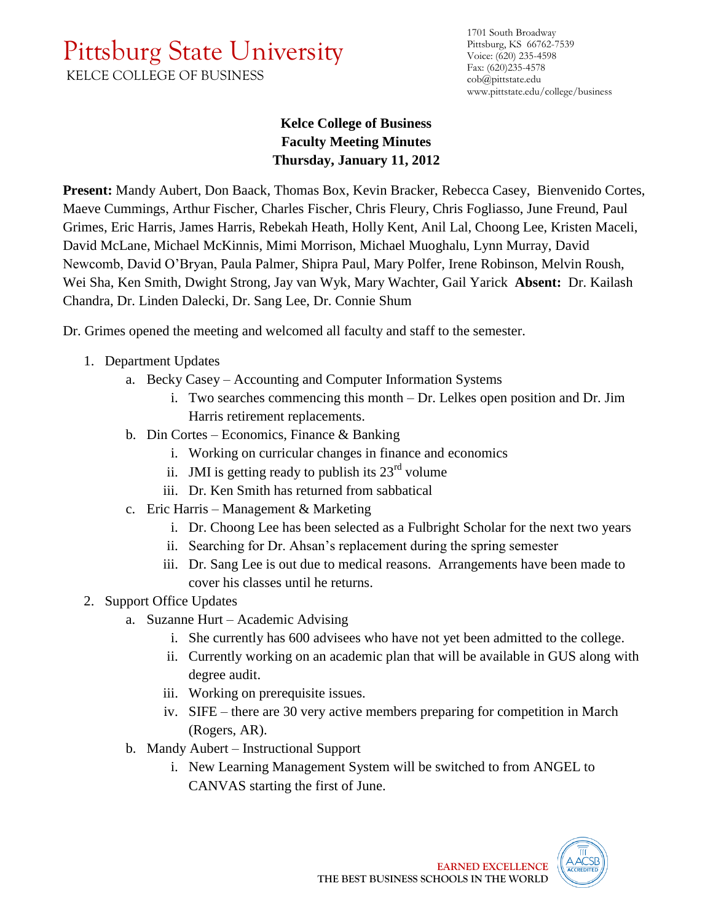## Pittsburg State University

KELCE COLLEGE OF BUSINESS

1701 South Broadway Pittsburg, KS 66762-7539 Voice: (620) 235-4598 Fax: (620)235-4578 cob@pittstate.edu www.pittstate.edu/college/business

## **Kelce College of Business Faculty Meeting Minutes Thursday, January 11, 2012**

**Present:** Mandy Aubert, Don Baack, Thomas Box, Kevin Bracker, Rebecca Casey, Bienvenido Cortes, Maeve Cummings, Arthur Fischer, Charles Fischer, Chris Fleury, Chris Fogliasso, June Freund, Paul Grimes, Eric Harris, James Harris, Rebekah Heath, Holly Kent, Anil Lal, Choong Lee, Kristen Maceli, David McLane, Michael McKinnis, Mimi Morrison, Michael Muoghalu, Lynn Murray, David Newcomb, David O'Bryan, Paula Palmer, Shipra Paul, Mary Polfer, Irene Robinson, Melvin Roush, Wei Sha, Ken Smith, Dwight Strong, Jay van Wyk, Mary Wachter, Gail Yarick **Absent:** Dr. Kailash Chandra, Dr. Linden Dalecki, Dr. Sang Lee, Dr. Connie Shum

Dr. Grimes opened the meeting and welcomed all faculty and staff to the semester.

- 1. Department Updates
	- a. Becky Casey Accounting and Computer Information Systems
		- i. Two searches commencing this month Dr. Lelkes open position and Dr. Jim Harris retirement replacements.
	- b. Din Cortes Economics, Finance & Banking
		- i. Working on curricular changes in finance and economics
		- ii. JMI is getting ready to publish its  $23<sup>rd</sup>$  volume
		- iii. Dr. Ken Smith has returned from sabbatical
	- c. Eric Harris Management & Marketing
		- i. Dr. Choong Lee has been selected as a Fulbright Scholar for the next two years
		- ii. Searching for Dr. Ahsan's replacement during the spring semester
		- iii. Dr. Sang Lee is out due to medical reasons. Arrangements have been made to cover his classes until he returns.
- 2. Support Office Updates
	- a. Suzanne Hurt Academic Advising
		- i. She currently has 600 advisees who have not yet been admitted to the college.
		- ii. Currently working on an academic plan that will be available in GUS along with degree audit.
		- iii. Working on prerequisite issues.
		- iv. SIFE there are 30 very active members preparing for competition in March (Rogers, AR).
	- b. Mandy Aubert Instructional Support
		- i. New Learning Management System will be switched to from ANGEL to CANVAS starting the first of June.

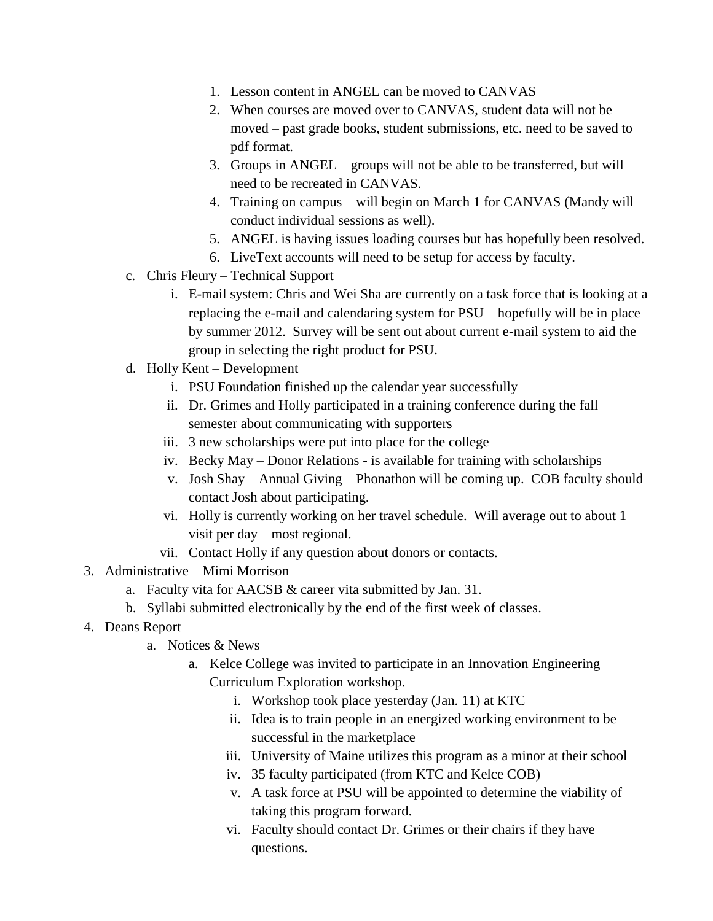- 1. Lesson content in ANGEL can be moved to CANVAS
- 2. When courses are moved over to CANVAS, student data will not be moved – past grade books, student submissions, etc. need to be saved to pdf format.
- 3. Groups in ANGEL groups will not be able to be transferred, but will need to be recreated in CANVAS.
- 4. Training on campus will begin on March 1 for CANVAS (Mandy will conduct individual sessions as well).
- 5. ANGEL is having issues loading courses but has hopefully been resolved.
- 6. LiveText accounts will need to be setup for access by faculty.
- c. Chris Fleury Technical Support
	- i. E-mail system: Chris and Wei Sha are currently on a task force that is looking at a replacing the e-mail and calendaring system for PSU – hopefully will be in place by summer 2012. Survey will be sent out about current e-mail system to aid the group in selecting the right product for PSU.
- d. Holly Kent Development
	- i. PSU Foundation finished up the calendar year successfully
	- ii. Dr. Grimes and Holly participated in a training conference during the fall semester about communicating with supporters
	- iii. 3 new scholarships were put into place for the college
	- iv. Becky May Donor Relations is available for training with scholarships
	- v. Josh Shay Annual Giving Phonathon will be coming up. COB faculty should contact Josh about participating.
	- vi. Holly is currently working on her travel schedule. Will average out to about 1 visit per day – most regional.
	- vii. Contact Holly if any question about donors or contacts.
- 3. Administrative Mimi Morrison
	- a. Faculty vita for AACSB & career vita submitted by Jan. 31.
	- b. Syllabi submitted electronically by the end of the first week of classes.
- 4. Deans Report
	- a. Notices & News
		- a. Kelce College was invited to participate in an Innovation Engineering Curriculum Exploration workshop.
			- i. Workshop took place yesterday (Jan. 11) at KTC
			- ii. Idea is to train people in an energized working environment to be successful in the marketplace
			- iii. University of Maine utilizes this program as a minor at their school
			- iv. 35 faculty participated (from KTC and Kelce COB)
			- v. A task force at PSU will be appointed to determine the viability of taking this program forward.
			- vi. Faculty should contact Dr. Grimes or their chairs if they have questions.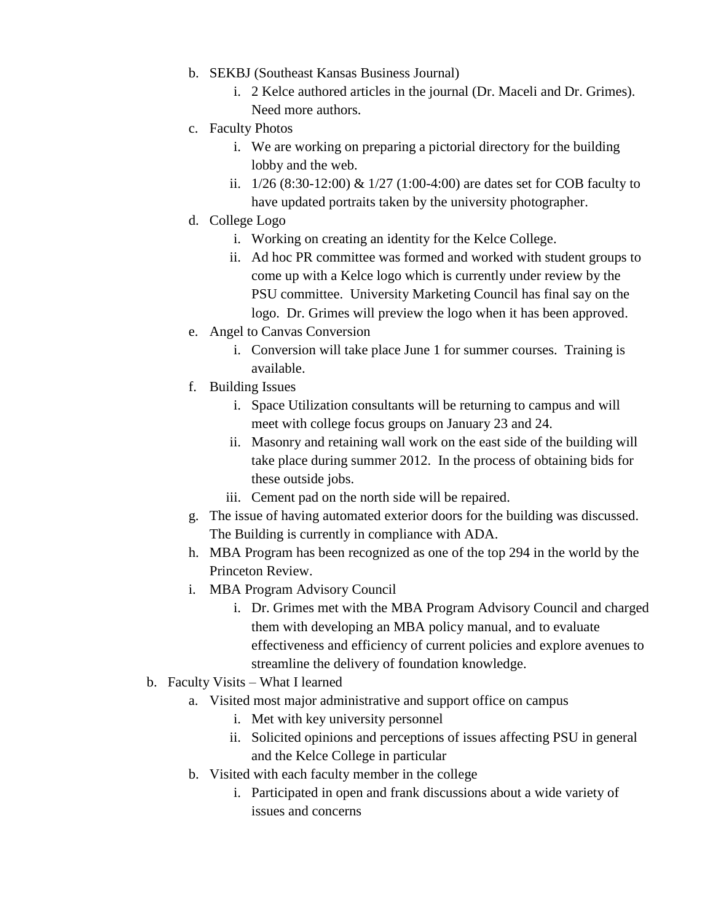- b. SEKBJ (Southeast Kansas Business Journal)
	- i. 2 Kelce authored articles in the journal (Dr. Maceli and Dr. Grimes). Need more authors.
- c. Faculty Photos
	- i. We are working on preparing a pictorial directory for the building lobby and the web.
	- ii. 1/26 (8:30-12:00) & 1/27 (1:00-4:00) are dates set for COB faculty to have updated portraits taken by the university photographer.
- d. College Logo
	- i. Working on creating an identity for the Kelce College.
	- ii. Ad hoc PR committee was formed and worked with student groups to come up with a Kelce logo which is currently under review by the PSU committee. University Marketing Council has final say on the logo. Dr. Grimes will preview the logo when it has been approved.
- e. Angel to Canvas Conversion
	- i. Conversion will take place June 1 for summer courses. Training is available.
- f. Building Issues
	- i. Space Utilization consultants will be returning to campus and will meet with college focus groups on January 23 and 24.
	- ii. Masonry and retaining wall work on the east side of the building will take place during summer 2012. In the process of obtaining bids for these outside jobs.
	- iii. Cement pad on the north side will be repaired.
- g. The issue of having automated exterior doors for the building was discussed. The Building is currently in compliance with ADA.
- h. MBA Program has been recognized as one of the top 294 in the world by the Princeton Review.
- i. MBA Program Advisory Council
	- i. Dr. Grimes met with the MBA Program Advisory Council and charged them with developing an MBA policy manual, and to evaluate effectiveness and efficiency of current policies and explore avenues to streamline the delivery of foundation knowledge.
- b. Faculty Visits What I learned
	- a. Visited most major administrative and support office on campus
		- i. Met with key university personnel
		- ii. Solicited opinions and perceptions of issues affecting PSU in general and the Kelce College in particular
	- b. Visited with each faculty member in the college
		- i. Participated in open and frank discussions about a wide variety of issues and concerns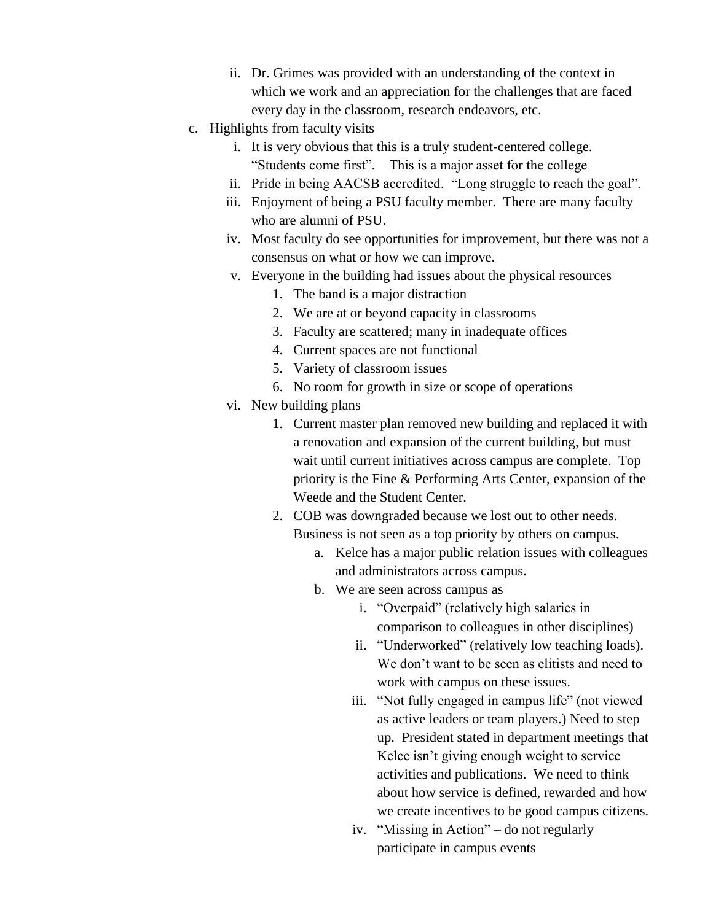- ii. Dr. Grimes was provided with an understanding of the context in which we work and an appreciation for the challenges that are faced every day in the classroom, research endeavors, etc.
- c. Highlights from faculty visits
	- i. It is very obvious that this is a truly student-centered college. "Students come first". This is a major asset for the college
	- ii. Pride in being AACSB accredited. "Long struggle to reach the goal".
	- iii. Enjoyment of being a PSU faculty member. There are many faculty who are alumni of PSU.
	- iv. Most faculty do see opportunities for improvement, but there was not a consensus on what or how we can improve.
	- v. Everyone in the building had issues about the physical resources
		- 1. The band is a major distraction
		- 2. We are at or beyond capacity in classrooms
		- 3. Faculty are scattered; many in inadequate offices
		- 4. Current spaces are not functional
		- 5. Variety of classroom issues
		- 6. No room for growth in size or scope of operations
	- vi. New building plans
		- 1. Current master plan removed new building and replaced it with a renovation and expansion of the current building, but must wait until current initiatives across campus are complete. Top priority is the Fine & Performing Arts Center, expansion of the Weede and the Student Center.
		- 2. COB was downgraded because we lost out to other needs. Business is not seen as a top priority by others on campus.
			- a. Kelce has a major public relation issues with colleagues and administrators across campus.
			- b. We are seen across campus as
				- i. "Overpaid" (relatively high salaries in comparison to colleagues in other disciplines)
				- ii. "Underworked" (relatively low teaching loads). We don't want to be seen as elitists and need to work with campus on these issues.
				- iii. "Not fully engaged in campus life" (not viewed as active leaders or team players.) Need to step up. President stated in department meetings that Kelce isn't giving enough weight to service activities and publications. We need to think about how service is defined, rewarded and how we create incentives to be good campus citizens.
				- iv. "Missing in Action" do not regularly participate in campus events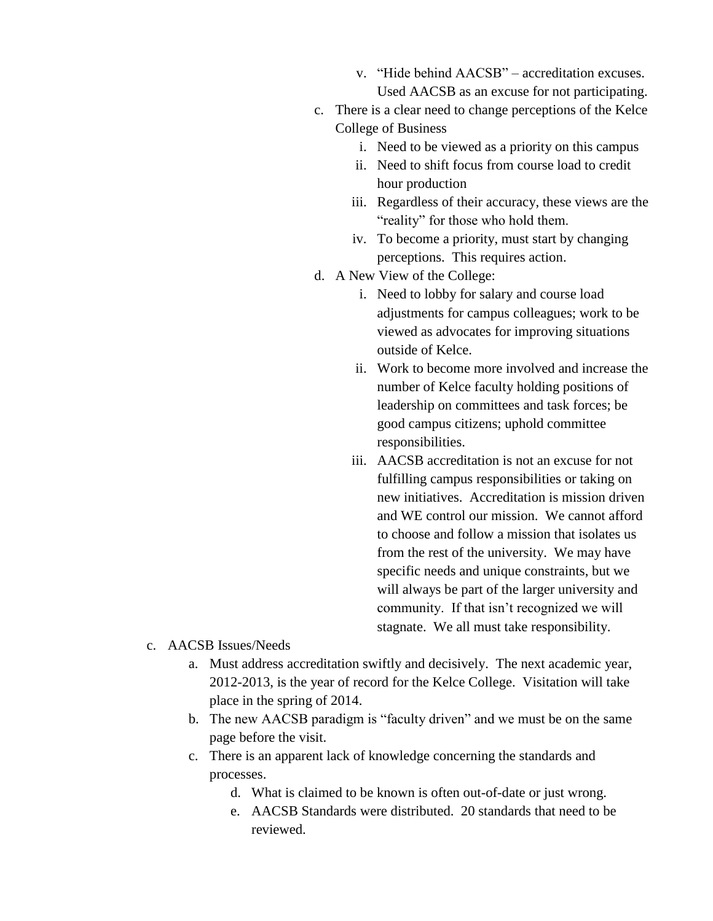- v. "Hide behind AACSB" accreditation excuses. Used AACSB as an excuse for not participating.
- c. There is a clear need to change perceptions of the Kelce College of Business
	- i. Need to be viewed as a priority on this campus
	- ii. Need to shift focus from course load to credit hour production
	- iii. Regardless of their accuracy, these views are the "reality" for those who hold them.
	- iv. To become a priority, must start by changing perceptions. This requires action.
- d. A New View of the College:
	- i. Need to lobby for salary and course load adjustments for campus colleagues; work to be viewed as advocates for improving situations outside of Kelce.
	- ii. Work to become more involved and increase the number of Kelce faculty holding positions of leadership on committees and task forces; be good campus citizens; uphold committee responsibilities.
	- iii. AACSB accreditation is not an excuse for not fulfilling campus responsibilities or taking on new initiatives. Accreditation is mission driven and WE control our mission. We cannot afford to choose and follow a mission that isolates us from the rest of the university. We may have specific needs and unique constraints, but we will always be part of the larger university and community. If that isn't recognized we will stagnate. We all must take responsibility.
- c. AACSB Issues/Needs
	- a. Must address accreditation swiftly and decisively. The next academic year, 2012-2013, is the year of record for the Kelce College. Visitation will take place in the spring of 2014.
	- b. The new AACSB paradigm is "faculty driven" and we must be on the same page before the visit.
	- c. There is an apparent lack of knowledge concerning the standards and processes.
		- d. What is claimed to be known is often out-of-date or just wrong.
		- e. AACSB Standards were distributed. 20 standards that need to be reviewed.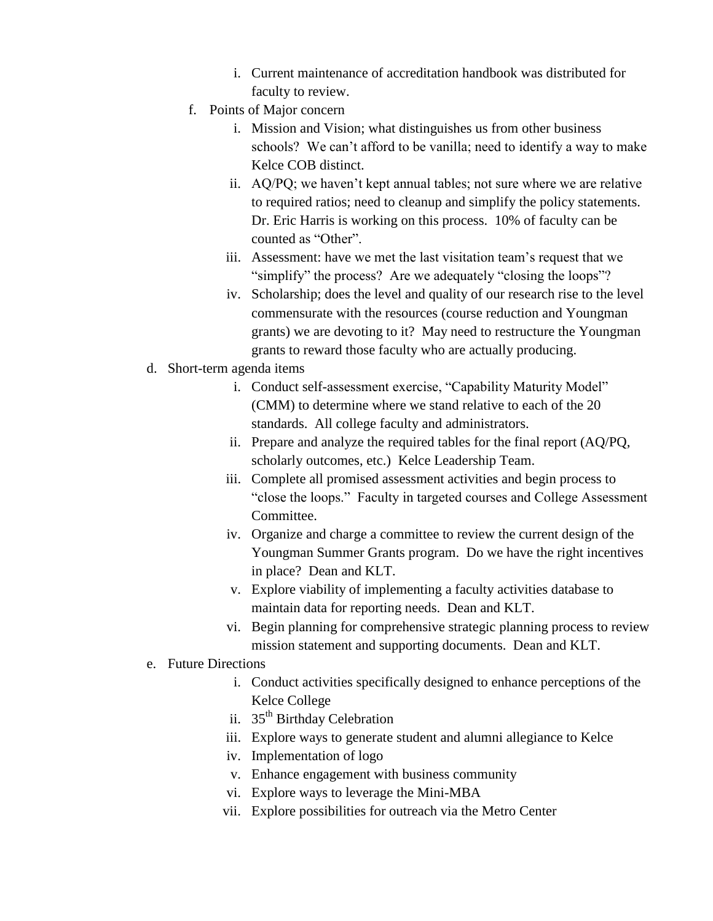- i. Current maintenance of accreditation handbook was distributed for faculty to review.
- f. Points of Major concern
	- i. Mission and Vision; what distinguishes us from other business schools? We can't afford to be vanilla; need to identify a way to make Kelce COB distinct.
	- ii. AQ/PQ; we haven't kept annual tables; not sure where we are relative to required ratios; need to cleanup and simplify the policy statements. Dr. Eric Harris is working on this process. 10% of faculty can be counted as "Other".
	- iii. Assessment: have we met the last visitation team's request that we "simplify" the process? Are we adequately "closing the loops"?
	- iv. Scholarship; does the level and quality of our research rise to the level commensurate with the resources (course reduction and Youngman grants) we are devoting to it? May need to restructure the Youngman grants to reward those faculty who are actually producing.
- d. Short-term agenda items
	- i. Conduct self-assessment exercise, "Capability Maturity Model" (CMM) to determine where we stand relative to each of the 20 standards. All college faculty and administrators.
	- ii. Prepare and analyze the required tables for the final report (AQ/PQ, scholarly outcomes, etc.) Kelce Leadership Team.
	- iii. Complete all promised assessment activities and begin process to "close the loops." Faculty in targeted courses and College Assessment Committee.
	- iv. Organize and charge a committee to review the current design of the Youngman Summer Grants program. Do we have the right incentives in place? Dean and KLT.
	- v. Explore viability of implementing a faculty activities database to maintain data for reporting needs. Dean and KLT.
	- vi. Begin planning for comprehensive strategic planning process to review mission statement and supporting documents. Dean and KLT.

## e. Future Directions

- i. Conduct activities specifically designed to enhance perceptions of the Kelce College
- ii. 35<sup>th</sup> Birthday Celebration
- iii. Explore ways to generate student and alumni allegiance to Kelce
- iv. Implementation of logo
- v. Enhance engagement with business community
- vi. Explore ways to leverage the Mini-MBA
- vii. Explore possibilities for outreach via the Metro Center